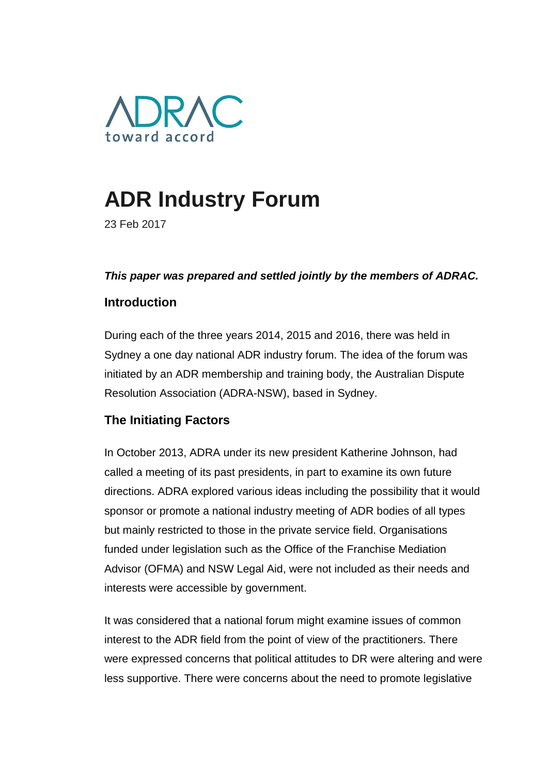

# **ADR Industry Forum**

23 Feb 2017

#### *This paper was prepared and settled jointly by the members of ADRAC.*

## **Introduction**

During each of the three years 2014, 2015 and 2016, there was held in Sydney a one day national ADR industry forum. The idea of the forum was initiated by an ADR membership and training body, the Australian Dispute Resolution Association (ADRA-NSW), based in Sydney.

## **The Initiating Factors**

In October 2013, ADRA under its new president Katherine Johnson, had called a meeting of its past presidents, in part to examine its own future directions. ADRA explored various ideas including the possibility that it would sponsor or promote a national industry meeting of ADR bodies of all types but mainly restricted to those in the private service field. Organisations funded under legislation such as the Office of the Franchise Mediation Advisor (OFMA) and NSW Legal Aid, were not included as their needs and interests were accessible by government.

It was considered that a national forum might examine issues of common interest to the ADR field from the point of view of the practitioners. There were expressed concerns that political attitudes to DR were altering and were less supportive. There were concerns about the need to promote legislative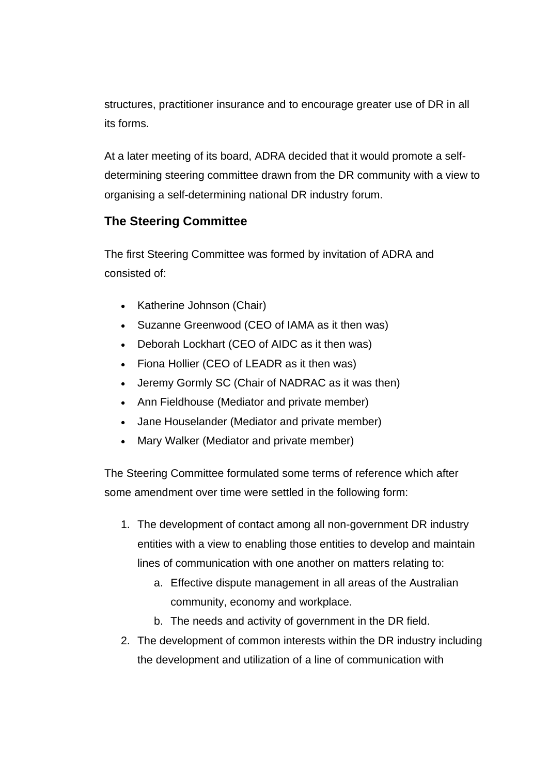structures, practitioner insurance and to encourage greater use of DR in all its forms.

At a later meeting of its board, ADRA decided that it would promote a selfdetermining steering committee drawn from the DR community with a view to organising a self-determining national DR industry forum.

# **The Steering Committee**

The first Steering Committee was formed by invitation of ADRA and consisted of:

- Katherine Johnson (Chair)
- Suzanne Greenwood (CEO of IAMA as it then was)
- Deborah Lockhart (CEO of AIDC as it then was)
- Fiona Hollier (CEO of LEADR as it then was)
- Jeremy Gormly SC (Chair of NADRAC as it was then)
- Ann Fieldhouse (Mediator and private member)
- Jane Houselander (Mediator and private member)
- Mary Walker (Mediator and private member)

The Steering Committee formulated some terms of reference which after some amendment over time were settled in the following form:

- 1. The development of contact among all non-government DR industry entities with a view to enabling those entities to develop and maintain lines of communication with one another on matters relating to:
	- a. Effective dispute management in all areas of the Australian community, economy and workplace.
	- b. The needs and activity of government in the DR field.
- 2. The development of common interests within the DR industry including the development and utilization of a line of communication with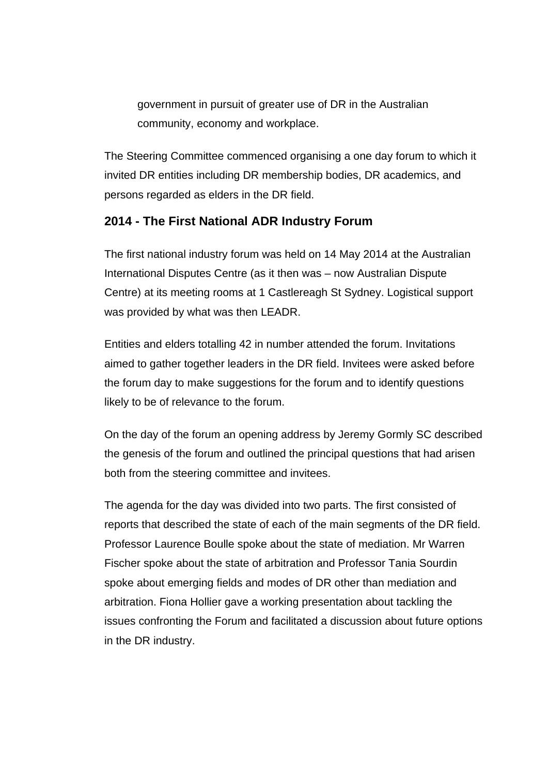government in pursuit of greater use of DR in the Australian community, economy and workplace.

The Steering Committee commenced organising a one day forum to which it invited DR entities including DR membership bodies, DR academics, and persons regarded as elders in the DR field.

## **2014 - The First National ADR Industry Forum**

The first national industry forum was held on 14 May 2014 at the Australian International Disputes Centre (as it then was – now Australian Dispute Centre) at its meeting rooms at 1 Castlereagh St Sydney. Logistical support was provided by what was then LEADR.

Entities and elders totalling 42 in number attended the forum. Invitations aimed to gather together leaders in the DR field. Invitees were asked before the forum day to make suggestions for the forum and to identify questions likely to be of relevance to the forum.

On the day of the forum an opening address by Jeremy Gormly SC described the genesis of the forum and outlined the principal questions that had arisen both from the steering committee and invitees.

The agenda for the day was divided into two parts. The first consisted of reports that described the state of each of the main segments of the DR field. Professor Laurence Boulle spoke about the state of mediation. Mr Warren Fischer spoke about the state of arbitration and Professor Tania Sourdin spoke about emerging fields and modes of DR other than mediation and arbitration. Fiona Hollier gave a working presentation about tackling the issues confronting the Forum and facilitated a discussion about future options in the DR industry.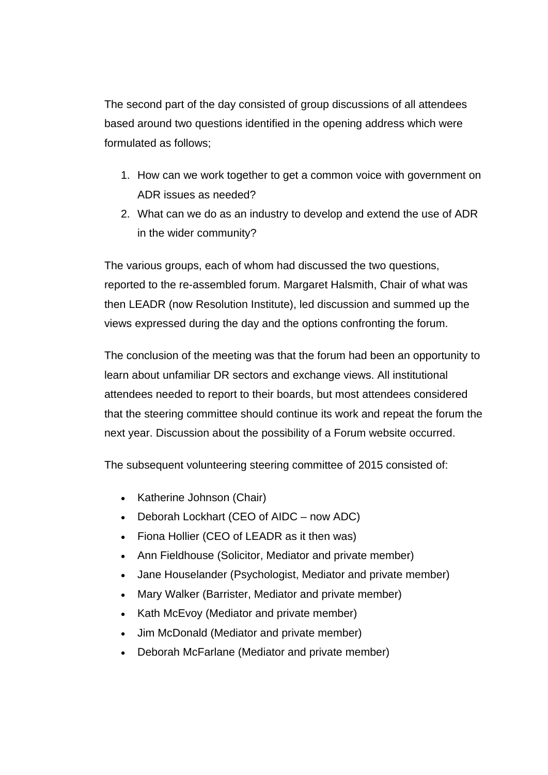The second part of the day consisted of group discussions of all attendees based around two questions identified in the opening address which were formulated as follows;

- 1. How can we work together to get a common voice with government on ADR issues as needed?
- 2. What can we do as an industry to develop and extend the use of ADR in the wider community?

The various groups, each of whom had discussed the two questions, reported to the re-assembled forum. Margaret Halsmith, Chair of what was then LEADR (now Resolution Institute), led discussion and summed up the views expressed during the day and the options confronting the forum.

The conclusion of the meeting was that the forum had been an opportunity to learn about unfamiliar DR sectors and exchange views. All institutional attendees needed to report to their boards, but most attendees considered that the steering committee should continue its work and repeat the forum the next year. Discussion about the possibility of a Forum website occurred.

The subsequent volunteering steering committee of 2015 consisted of:

- Katherine Johnson (Chair)
- Deborah Lockhart (CEO of AIDC now ADC)
- Fiona Hollier (CEO of LEADR as it then was)
- Ann Fieldhouse (Solicitor, Mediator and private member)
- Jane Houselander (Psychologist, Mediator and private member)
- Mary Walker (Barrister, Mediator and private member)
- Kath McEvoy (Mediator and private member)
- Jim McDonald (Mediator and private member)
- Deborah McFarlane (Mediator and private member)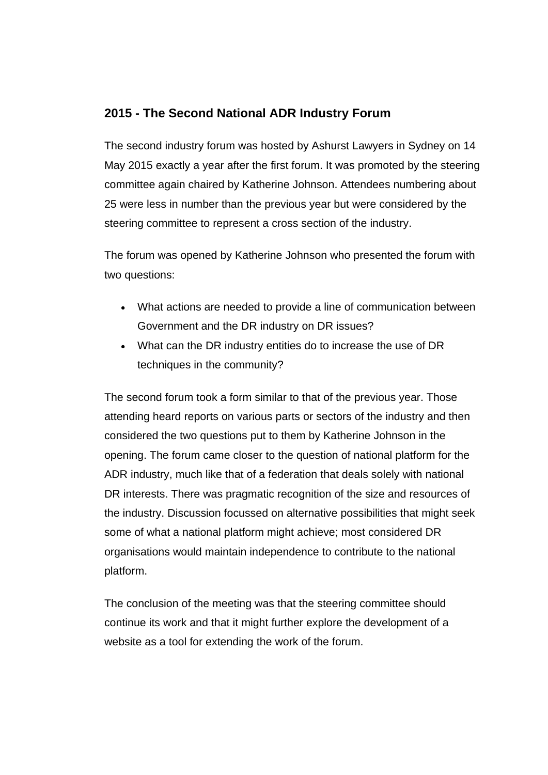## **2015 - The Second National ADR Industry Forum**

The second industry forum was hosted by Ashurst Lawyers in Sydney on 14 May 2015 exactly a year after the first forum. It was promoted by the steering committee again chaired by Katherine Johnson. Attendees numbering about 25 were less in number than the previous year but were considered by the steering committee to represent a cross section of the industry.

The forum was opened by Katherine Johnson who presented the forum with two questions:

- What actions are needed to provide a line of communication between Government and the DR industry on DR issues?
- What can the DR industry entities do to increase the use of DR techniques in the community?

The second forum took a form similar to that of the previous year. Those attending heard reports on various parts or sectors of the industry and then considered the two questions put to them by Katherine Johnson in the opening. The forum came closer to the question of national platform for the ADR industry, much like that of a federation that deals solely with national DR interests. There was pragmatic recognition of the size and resources of the industry. Discussion focussed on alternative possibilities that might seek some of what a national platform might achieve; most considered DR organisations would maintain independence to contribute to the national platform.

The conclusion of the meeting was that the steering committee should continue its work and that it might further explore the development of a website as a tool for extending the work of the forum.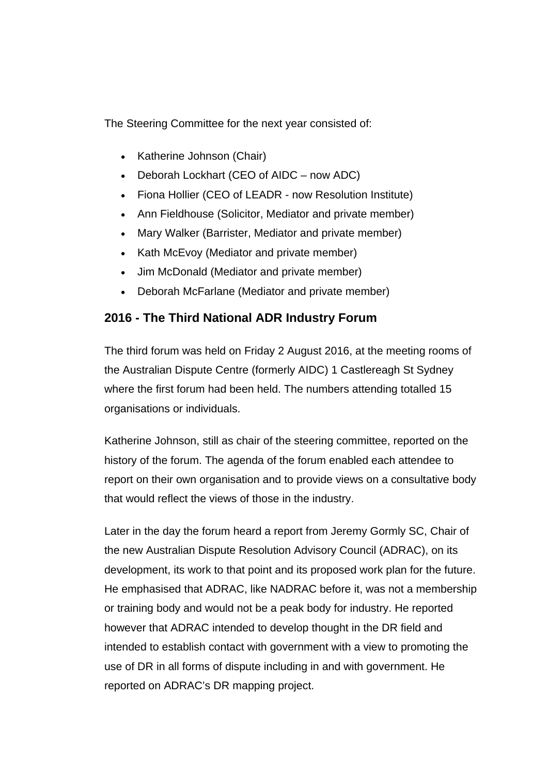The Steering Committee for the next year consisted of:

- Katherine Johnson (Chair)
- Deborah Lockhart (CEO of AIDC now ADC)
- Fiona Hollier (CEO of LEADR now Resolution Institute)
- Ann Fieldhouse (Solicitor, Mediator and private member)
- Mary Walker (Barrister, Mediator and private member)
- Kath McEvoy (Mediator and private member)
- Jim McDonald (Mediator and private member)
- Deborah McFarlane (Mediator and private member)

## **2016 - The Third National ADR Industry Forum**

The third forum was held on Friday 2 August 2016, at the meeting rooms of the Australian Dispute Centre (formerly AIDC) 1 Castlereagh St Sydney where the first forum had been held. The numbers attending totalled 15 organisations or individuals.

Katherine Johnson, still as chair of the steering committee, reported on the history of the forum. The agenda of the forum enabled each attendee to report on their own organisation and to provide views on a consultative body that would reflect the views of those in the industry.

Later in the day the forum heard a report from Jeremy Gormly SC, Chair of the new Australian Dispute Resolution Advisory Council (ADRAC), on its development, its work to that point and its proposed work plan for the future. He emphasised that ADRAC, like NADRAC before it, was not a membership or training body and would not be a peak body for industry. He reported however that ADRAC intended to develop thought in the DR field and intended to establish contact with government with a view to promoting the use of DR in all forms of dispute including in and with government. He reported on ADRAC's DR mapping project.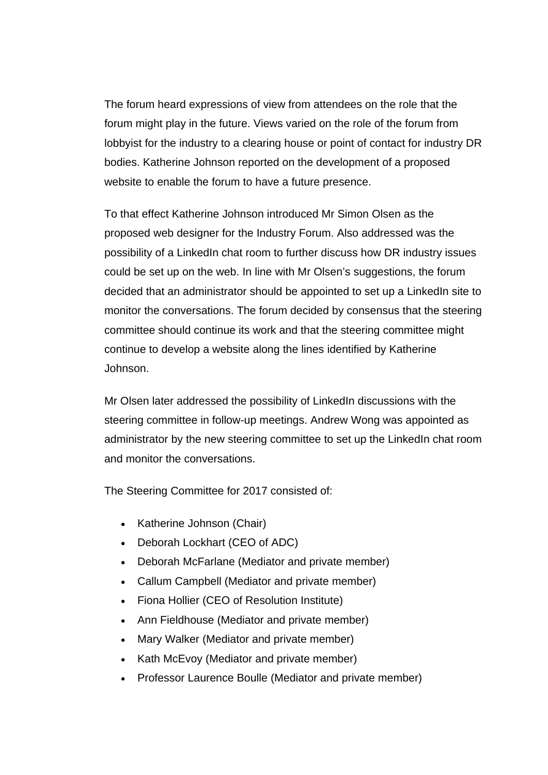The forum heard expressions of view from attendees on the role that the forum might play in the future. Views varied on the role of the forum from lobbyist for the industry to a clearing house or point of contact for industry DR bodies. Katherine Johnson reported on the development of a proposed website to enable the forum to have a future presence.

To that effect Katherine Johnson introduced Mr Simon Olsen as the proposed web designer for the Industry Forum. Also addressed was the possibility of a LinkedIn chat room to further discuss how DR industry issues could be set up on the web. In line with Mr Olsen's suggestions, the forum decided that an administrator should be appointed to set up a LinkedIn site to monitor the conversations. The forum decided by consensus that the steering committee should continue its work and that the steering committee might continue to develop a website along the lines identified by Katherine Johnson.

Mr Olsen later addressed the possibility of LinkedIn discussions with the steering committee in follow-up meetings. Andrew Wong was appointed as administrator by the new steering committee to set up the LinkedIn chat room and monitor the conversations.

The Steering Committee for 2017 consisted of:

- Katherine Johnson (Chair)
- Deborah Lockhart (CEO of ADC)
- Deborah McFarlane (Mediator and private member)
- Callum Campbell (Mediator and private member)
- Fiona Hollier (CEO of Resolution Institute)
- Ann Fieldhouse (Mediator and private member)
- Mary Walker (Mediator and private member)
- Kath McEvoy (Mediator and private member)
- Professor Laurence Boulle (Mediator and private member)